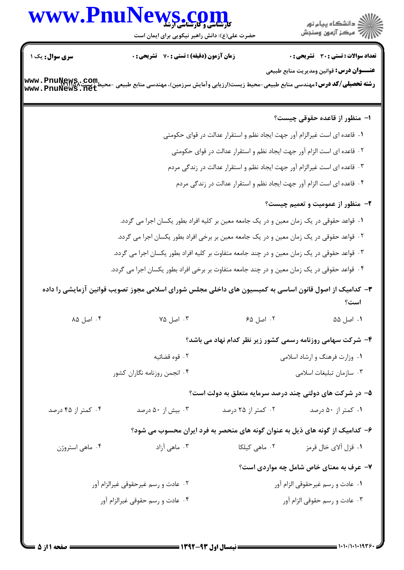# www.PnuNews.co

حضرت علی(ع): دانش راهبر نیکویی برای ایمان است

ے<br>اگ دانش*گ*اہ پیام نور أأزأته مركز آزمون وسنجش

**تعداد سوالات : تستي : 30 - تشريحي : 0** 

**عنـــوان درس:** قوانین ومدیریت منابع طبیعی

**زمان آزمون (دقیقه) : تستی : 70 ٪ تشریحی : 0** 

سری سوال : یک ۱

**رشته تحصیلی/کد درس:**مهندسی منابع طبیعی-محیط زیست(ارزیابی وآمایش سرزمین)، مهندسی منابع طبیعی -محیط زیست Mww . PnuNews<br>استفاق الله استرال استرالی استرال استرال استرالرزیابی وآمایش سرزمین)، مهندسی منابع طبیعی -محیط زیست ۱۳۵  $www\centerdot \texttt{PnuN}ews\centerdot \texttt{m}\texttt{e}t\centerdot$ ۱– منظور از قاعده حقوقی چیست؟ ۰۱ قاعده ای است غیرالزام آور جهت ایجاد نظم و استقرار عدالت در قوای حکومتی ۲. قاعده ای است الزام آور جهت ایجاد نظم و استقرار عدالت در قوای حکومتی ۰۳ قاعده ای است غیرالزام آور جهت ایجاد نظم و استقرار عدالت در زندگی مردم

۰۴ قاعده ای است الزام آور جهت ایجاد نظم و استقرار عدالت در زندگی مردم

### **۲**- منظور از عمومیت و تعمیم چیست؟

- ١. قواعد حقوقي در يک زمان معين و در يک جامعه معين بر کليه افراد بطور يکسان اجرا مي گردد. ۲ . قواعد حقوقی در یک زمان معین و در یک جامعه معین بر برخی افراد بطور یکسان اجرا می گردد. ۰۳ قواعد حقوقی در یک زمان معین و در چند جامعه متفاوت بر کلیه افراد بطور یکسان اجرا می گردد. ۰۴ قواعد حقوقی در یک زمان معین و در چند جامعه متفاوت بر برخی افراد بطور یکسان اجرا می گردد.
- **۳** کدامیک از اصول قانون اساسی به کمیسیون های داخلی مجلس شورای اسلامی مجوز تصویب قوانین آزمایشی را داده است؟
	- ۰۲ اصل ۶۵ ۰۴ اصل ۸۵ ۰۳ اصل ۷۵ ۰۱ اصل ۵۵

#### ۴- شرکت سهامی روزنامه رسمی کشور زیر نظر کدام نهاد می باشد؟

۰۱ وزارت فرهنگ و ارشاد اسلامی ۰۲ قوه قضائیه ۰۴ انجمن روزنامه نگاران کشور ۰۳ سازمان تبليغات اسلامى

#### ۵– در شرکت های دولتی چند درصد سرمایه متعلق به دولت است؟

| ۰۴ کمتر از ۴۵ درصد<br>۰۳ بیش از ۵۰ درصد | ۰۲ کمتر از ۲۵ درصد | ۰۱ کمتر از ۵۰ درصد |
|-----------------------------------------|--------------------|--------------------|
|-----------------------------------------|--------------------|--------------------|

#### ۶– کدامیک از گونه های ذیل به عنوان گونه های منحصر به فرد ایران محسوب می شود؟

۰۴ ماهي استروژن ۰۳ ماهی آزاد ۰۲ ماهی کیلکا ١. قزل آلاي خال قرمز

#### ۷- عرف به معنای خاص شامل چه مواردی است؟

۰۲ عادت و رسم غیرحقوقی غیرالزام آور ۰۱ عادت و رسم غیرحقوقی الزام آور ۰۴ عادت و رسم حقوقی غیرالزام آور ۰۳ عادت و رسم حقوقی الزام آور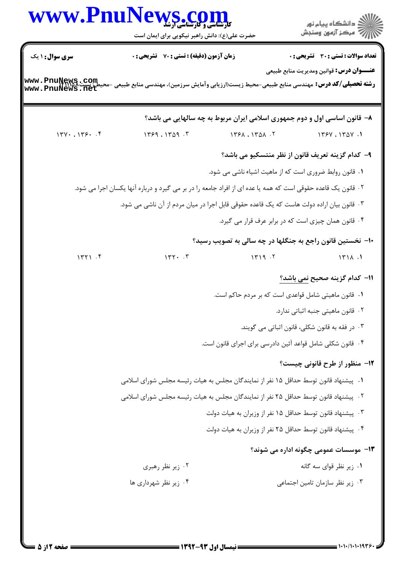|                                    | WWW.PnuNews.com<br>حضرت علی(ع): دانش راهبر نیکویی برای ایمان است                                               |               | دانشگاه پيام نور $\le$<br>رآ مرڪز آزمون وسنڊش                             |  |
|------------------------------------|----------------------------------------------------------------------------------------------------------------|---------------|---------------------------------------------------------------------------|--|
| <b>سری سوال :</b> ۱ یک             | <b>زمان آزمون (دقیقه) : تستی : 70 گشریحی : 0</b>                                                               |               | تعداد سوالات : تستي : 30 - تشريحي : 0                                     |  |
| www.PnuNews.com<br>www.PnuNews.net | <b>رشته تحصیلی/کد درس:</b> مهندسی منابع طبیعی-محیط زیست(ارزیابی وآمایش سرزمین)، مهندسی منابع طبیعی -مح         |               | <b>عنـــوان درس:</b> قوانین ومدیریت منابع طبیعی                           |  |
|                                    |                                                                                                                |               | ۸- قانون اساسی اول و دوم جمهوری اسلامی ایران مربوط به چه سالهایی می باشد؟ |  |
| 174.179. .9                        | 1799.199.7                                                                                                     | ۲. ۱۳۶۸، ۱۳۵۸ | 1590.1801.1                                                               |  |
|                                    |                                                                                                                |               | ۹– کدام گزینه تعریف قانون از نظر منتسکیو می باشد؟                         |  |
|                                    |                                                                                                                |               | ۰۱ قانون روابط ضروری است که از ماهیت اشیاء ناشی می شود.                   |  |
|                                    | ۲ . قانون یک قاعده حقوقی است که همه یا عده ای از افراد جامعه را در بر می گیرد و درباره آنها یکسان اجرا می شود. |               |                                                                           |  |
|                                    | ۰۳ قانون بیان اراده دولت هاست که یک قاعده حقوقی قابل اجرا در میان مردم از آن ناشی می شود.                      |               |                                                                           |  |
|                                    |                                                                                                                |               | ۰۴ قانون همان چیزی است که در برابر عرف قرار می گیرد.                      |  |
|                                    |                                                                                                                |               | ∙ا− نخستین قانون راجع به جنگلها در چه سالی به تصویب رسید؟                 |  |
| 1471.5                             | $147.$ $57.$                                                                                                   | 1419.7        | 1511.1                                                                    |  |
|                                    |                                                                                                                |               | 11- كدام گزينه صحيح نمي باشد؟                                             |  |
|                                    |                                                                                                                |               | ۰۱ قانون ماهیتی شامل قواعدی است که بر مردم حاکم است.                      |  |
|                                    |                                                                                                                |               | ۰۲ قانون ماهیتی جنبه اثباتی ندارد.                                        |  |
|                                    |                                                                                                                |               | ۰۳ در فقه به قانون شکلی، قانون اثباتی می گویند.                           |  |
|                                    |                                                                                                                |               | ۰۴ قانون شکلی شامل قواعد آئین دادرسی برای اجرای قانون است.                |  |
|                                    |                                                                                                                |               | <b>۱۲</b> - منظور از طرح قانونی چیست؟                                     |  |
|                                    | ۰۱ پیشنهاد قانون توسط حداقل ۱۵ نفر از نمایندگان مجلس به هیات رئیسه مجلس شورای اسلامی                           |               |                                                                           |  |
|                                    | ۰۲ پیشنهاد قانون توسط حداقل ۲۵ نفر از نمایندگان مجلس به هیات رئیسه مجلس شورای اسلامی                           |               |                                                                           |  |
|                                    |                                                                                                                |               | ۰۳ پیشنهاد قانون توسط حداقل ۱۵ نفر از وزیران به هیات دولت                 |  |
|                                    |                                                                                                                |               | ۰۴ پیشنهاد قانون توسط حداقل ۲۵ نفر از وزیران به هیات دولت                 |  |
|                                    |                                                                                                                |               | ۱۳- موسسات عمومی چگونه اداره می شوند؟                                     |  |
|                                    | ۰۲ زیر نظر رهبری                                                                                               |               | ۰۱ زیر نظر قوای سه گانه                                                   |  |
|                                    | ۰۴ زیر نظر شهرداری ها                                                                                          |               | ۰۳ زیر نظر سازمان تامین اجتماعی                                           |  |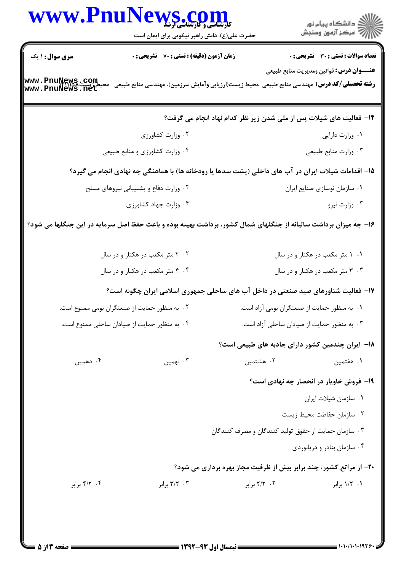|                                                                                                                 | حضرت علی(ع): دانش راهبر نیکویی برای ایمان است                                   | WWW.PnuNews.com                    |
|-----------------------------------------------------------------------------------------------------------------|---------------------------------------------------------------------------------|------------------------------------|
| <b>تعداد سوالات : تستی : 30 ٪ تشریحی : 0</b><br><b>عنـــوان درس:</b> قوانین ومدیریت منابع طبیعی                 | <b>زمان آزمون (دقیقه) : تستی : 70 ٪ تشریحی : 0</b>                              | <b>سری سوال : ۱ یک</b>             |
| <b>رشته تحصیلی/کد درس:</b> مهندسی منابع طبیعی-محیط زیست(ارزیابی وآمایش سرزمین)، مهندسی منابع طبیعی -مح          |                                                                                 | www.PnuNews.com<br>www.PnuNews.net |
| ۱۴– فعالیت های شیلات پس از ملی شدن زیر نظر کدام نهاد انجام می گرفت؟                                             |                                                                                 |                                    |
| ٠١ وزارت دارايي                                                                                                 | ۰۲ وزارت کشاورزی                                                                |                                    |
| ۰۳ وزارت منابع طبيعي                                                                                            | ۰۴ وزارت کشاورزی و منابع طبیعی                                                  |                                    |
| ۱۵– اقدامات شیلات ایران در آب های داخلی (پشت سدها یا رودخانه ها) با هماهنگی چه نهادی انجام می گیرد؟             |                                                                                 |                                    |
| ٠١ سازمان نوسازي صنايع ايران                                                                                    | ۰۲ وزارت دفاع و پشتیبانی نیروهای مسلح                                           |                                    |
| ۰۳ وزارت نيرو                                                                                                   | ۰۴ وزارت جهاد كشاورزى                                                           |                                    |
| ۱۶- چه میزان برداشت سالیانه از جنگلهای شمال کشور، برداشت بهینه بوده و باعث حفظ اصل سرمایه در این جنگلها می شود؟ |                                                                                 |                                    |
| ۰۱ متر مکعب در هکتار و در سال                                                                                   | ۰۲ ۲ متر مکعب در هکتار و در سال                                                 |                                    |
| ۰۳ ۳ متر مکعب در هکتار و در سال                                                                                 | ۰۴ ۴ متر مکعب در هکتار و در سال                                                 |                                    |
| ۱۷- فعالیت شناورهای صید صنعتی در داخل آب های ساحلی جمهوری اسلامی ایران چگونه است؟                               |                                                                                 |                                    |
|                                                                                                                 | ۰۱ به منظور حمایت از صنعتگران بومی آزاد است. سمعتری از منعتگران بومی ممنوع است. |                                    |
| ۰۳ به منظور حمایت از صیادان ساحلی آزاد است.                                                                     | ۰۴ به منظور حمایت از صیادان ساحلی ممنوع است.                                    |                                    |
| ۱۸− ایران چندمین کشور دارای جاذبه های طبیعی است؟                                                                |                                                                                 |                                    |
| ۰۲ هشتمین<br>۰۱ هفتمین                                                                                          | ۰۳ نهمین                                                                        | ۰۴ دهمین                           |
| <b>۱۹</b> - فروش خاویار در انحصار چه نهادی است؟                                                                 |                                                                                 |                                    |
| ۰۱ سازمان شيلات ايران                                                                                           |                                                                                 |                                    |
| ٠٢ سازمان حفاظت محيط زيست                                                                                       |                                                                                 |                                    |
| ۰۳ سازمان حمایت از حقوق تولید کنندگان و مصرف کنندگان                                                            |                                                                                 |                                    |
| ۰۴ سازمان بنادر و دریانوردی                                                                                     |                                                                                 |                                    |
| ۲۰- از مراتع کشور، چند برابر بیش از ظرفیت مجاز بهره برداری می شود؟                                              |                                                                                 |                                    |
| ۰۲ برابر<br>۰۱ ۱/۲ برابر                                                                                        | ۰۳ برابر                                                                        | ۰۴ برابر                           |
|                                                                                                                 |                                                                                 |                                    |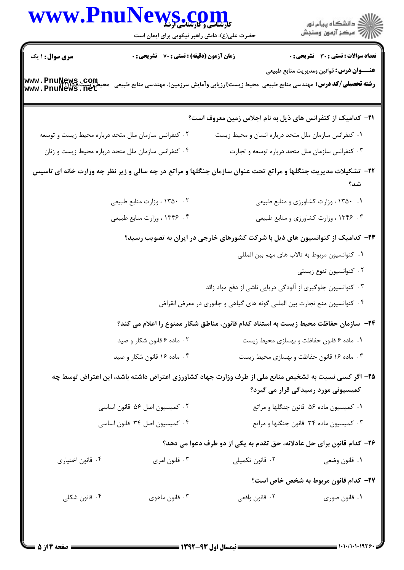|                               | WWW.PnuNews.com<br>حضرت علی(ع): دانش راهبر نیکویی برای ایمان است                                                      |                                                                                                    | )<br>الأكرام دانشگاه پيام نور<br>الأكرام مركز آزمون وسنجش                                       |
|-------------------------------|-----------------------------------------------------------------------------------------------------------------------|----------------------------------------------------------------------------------------------------|-------------------------------------------------------------------------------------------------|
| <b>سری سوال : ۱ یک</b>        | زمان آزمون (دقیقه) : تستی : 70 گشریحی : 0                                                                             |                                                                                                    | <b>تعداد سوالات : تستی : 30 - تشریحی : 0</b><br><b>عنـــوان درس:</b> قوانین ومدیریت منابع طبیعی |
| www.PnuNews.com               |                                                                                                                       | <b>رشته تحصیلی/کد درس:</b> مهندسی منابع طبیعی-محیط زیست(ارزیابی وآمایش سرزمین)، مهندسی منابع طبیعی |                                                                                                 |
|                               |                                                                                                                       | <b>۲۱</b> – کدامیک از کنفرانس های ذیل به نام اجلاس زمین معروف است؟                                 |                                                                                                 |
|                               | ۰۲ کنفرانس سازمان ملل متحد درباره محیط زیست و توسعه                                                                   | ٠١ كنفرانس سازمان ملل متحد درباره انسان و محيط زيست                                                |                                                                                                 |
|                               | ۰۴ کنفرانس سازمان ملل متحد درباره محیط زیست و زنان                                                                    | ۰۳ کنفرانس سازمان ملل متحد درباره توسعه و تجارت                                                    |                                                                                                 |
|                               | <b>۲۲</b> - تشکیلات مدیریت جنگلها و مراتع تحت عنوان سازمان جنگلها و مراتع در چه سالی و زیر نظر چه وزارت خانه ای تاسیس |                                                                                                    | شد؟                                                                                             |
|                               | ۰۲ م۱۳۵۰ وزارت منابع طبیعی                                                                                            |                                                                                                    | ۰۱ ۱۳۵۰ ، وزارت کشاورزی و منابع طبیعی                                                           |
|                               | ۴. ۱۳۴۶، وزارت منابع طبیعی                                                                                            |                                                                                                    | ۰۳ ۱۳۴۶ ، وزارت کشاورزی و منابع طبیعی                                                           |
|                               |                                                                                                                       | ۲۳– کدامیک از کنوانسیون های ذیل با شرکت کشورهای خارجی در ایران به تصویب رسید؟                      |                                                                                                 |
|                               |                                                                                                                       |                                                                                                    | ٠١. كنوانسيون مربوط به تالاب هاى مهم بين المللي                                                 |
|                               |                                                                                                                       |                                                                                                    | ۰۲ کنوانسیون تنوع زیستی                                                                         |
|                               |                                                                                                                       | ۰۳ کنوانسیون جلوگیری از آلودگی دریایی ناشی از دفع مواد زائد                                        |                                                                                                 |
|                               |                                                                                                                       | ۰۴ کنوانسیون منع تجارت بین المللی گونه های گیاهی و جانوری در معرض انقراض                           |                                                                                                 |
|                               |                                                                                                                       | ۲۴− سازمان حفاظت محیط زیست به استناد کدام قانون، مناطق شکار ممنوع را اعلام می کند؟                 |                                                                                                 |
| ۰۲ ماده ۶ قانون شکار و صید    |                                                                                                                       | ٠١ ماده ۶ قانون حفاظت و بهسازي محيط زيست                                                           |                                                                                                 |
| ۰۴ ماده ۱۶ قانون شکار و صید   |                                                                                                                       | ۰۳ ماده ۱۶ قانون حفاظت و بهسازی محیط زیست                                                          |                                                                                                 |
|                               | ۲۵– اگر کسی نسبت به تشخیص منابع ملی از طرف وزارت جهاد کشاورزی اعتراض داشته باشد، این اعتراض توسط چه                   |                                                                                                    | کمیسیونی مورد رسیدگی قرار می گیرد؟                                                              |
| ۰۲ کمیسیون اصل ۵۶ قانون اساسی |                                                                                                                       | ٠١ كميسيون ماده ٥۶ قانون جنگلها و مراتع                                                            |                                                                                                 |
| ۰۴ کمیسیون اصل ۳۴ قانون اساسی |                                                                                                                       | ۰۳ کمیسیون ماده ۳۴ قانون جنگلها و مراتع                                                            |                                                                                                 |
|                               |                                                                                                                       | ۲۶- کدام قانون برای حل عادلانه، حق تقدم به یکی از دو طرف دعوا می دهد؟                              |                                                                                                 |
| ۰۴ قانون اختياري              | ۰۳ قانون امري                                                                                                         | ۰۲ قانون تکمیلی                                                                                    | ۰۱ قانون وضعي                                                                                   |
|                               |                                                                                                                       |                                                                                                    | ٢٧- كدام قانون مربوط به شخص خاص است؟                                                            |
| ۰۴ قانون شکلی                 | ۰۳ قانون ماهوي                                                                                                        | ۰۲ قانون واقعي                                                                                     | ۰۱ قانون صوری                                                                                   |